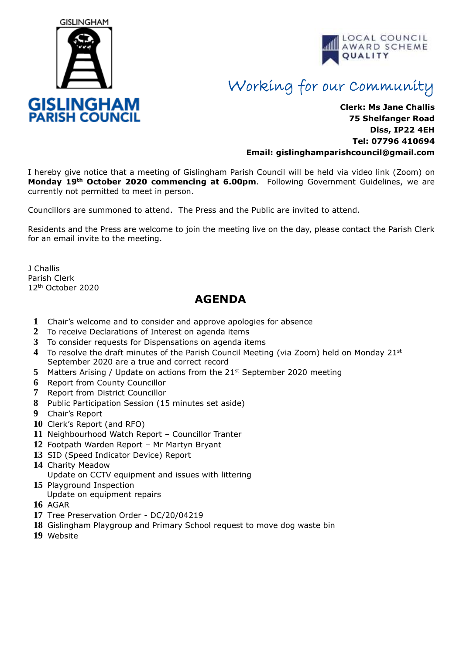



## Working for our Community

## **Clerk: Ms Jane Challis 75 Shelfanger Road Diss, IP22 4EH Tel: 07796 410694 Email: [gislinghamparishcouncil@gmail.com](mailto:gislinghamparishcouncil@gmail.com)**

I hereby give notice that a meeting of Gislingham Parish Council will be held via video link (Zoom) on **Monday 19th October 2020 commencing at 6.00pm**. Following Government Guidelines, we are currently not permitted to meet in person.

Councillors are summoned to attend. The Press and the Public are invited to attend.

Residents and the Press are welcome to join the meeting live on the day, please contact the Parish Clerk for an email invite to the meeting.

J Challis Parish Clerk 12th October 2020

## **AGENDA**

- **1** Chair's welcome and to consider and approve apologies for absence
- **2** To receive Declarations of Interest on agenda items
- **3** To consider requests for Dispensations on agenda items
- **4** To resolve the draft minutes of the Parish Council Meeting (via Zoom) held on Monday 21st September 2020 are a true and correct record
- **5** Matters Arising / Update on actions from the 21<sup>st</sup> September 2020 meeting
- **6** Report from County Councillor
- **7** Report from District Councillor
- **8** Public Participation Session (15 minutes set aside)
- **9** Chair's Report
- **10** Clerk's Report (and RFO)
- **11** Neighbourhood Watch Report Councillor Tranter
- **12** Footpath Warden Report Mr Martyn Bryant
- **13** SID (Speed Indicator Device) Report
- **14** Charity Meadow Update on CCTV equipment and issues with littering
- **15** Playground Inspection Update on equipment repairs
- **16** AGAR
- **17** Tree Preservation Order DC/20/04219
- **18** Gislingham Playgroup and Primary School request to move dog waste bin
- **19** Website